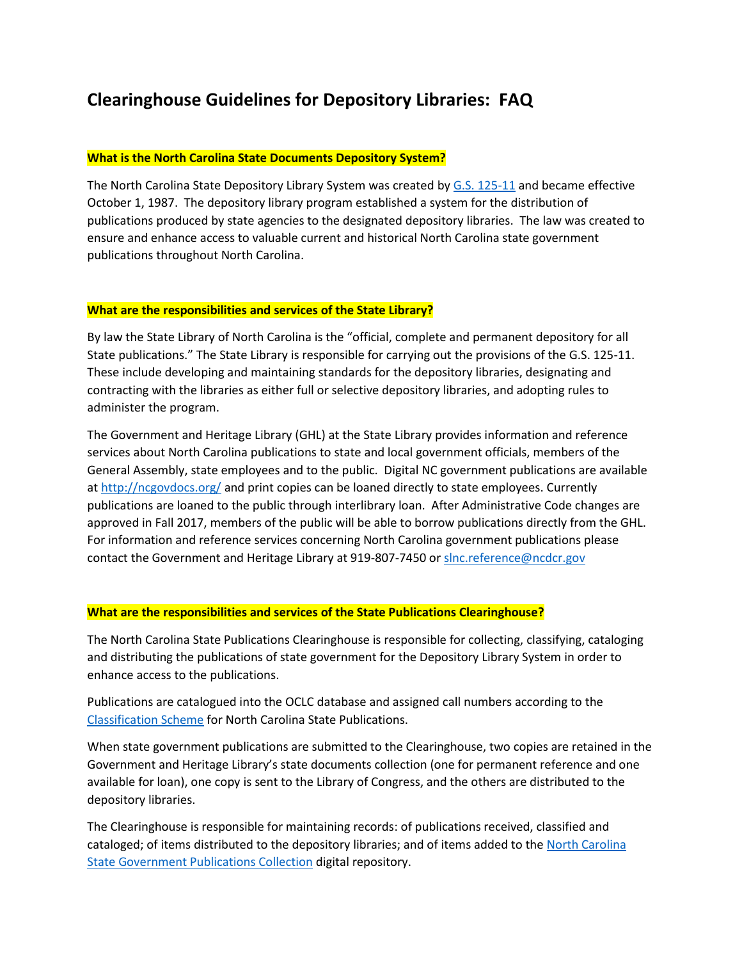# **Clearinghouse Guidelines for Depository Libraries: FAQ**

#### **What is the North Carolina State Documents Depository System?**

The North Carolina State Depository Library System was created by [G.S. 125-11](http://www.ncleg.net/EnactedLegislation/Statutes/PDF/ByArticle/Chapter_125/Article_1A.pdf) and became effective October 1, 1987. The depository library program established a system for the distribution of publications produced by state agencies to the designated depository libraries. The law was created to ensure and enhance access to valuable current and historical North Carolina state government publications throughout North Carolina.

#### **What are the responsibilities and services of the State Library?**

By law the State Library of North Carolina is the "official, complete and permanent depository for all State publications." The State Library is responsible for carrying out the provisions of the G.S. 125-11. These include developing and maintaining standards for the depository libraries, designating and contracting with the libraries as either full or selective depository libraries, and adopting rules to administer the program.

The Government and Heritage Library (GHL) at the State Library provides information and reference services about North Carolina publications to state and local government officials, members of the General Assembly, state employees and to the public. Digital NC government publications are available a[t http://ncgovdocs.org/](http://ncgovdocs.org/) and print copies can be loaned directly to state employees. Currently publications are loaned to the public through interlibrary loan. After Administrative Code changes are approved in Fall 2017, members of the public will be able to borrow publications directly from the GHL. For information and reference services concerning North Carolina government publications please contact the Government and Heritage Library at 919-807-7450 o[r slnc.reference@ncdcr.gov](mailto:slnc.reference@ncdcr.gov)

#### **What are the responsibilities and services of the State Publications Clearinghouse?**

The North Carolina State Publications Clearinghouse is responsible for collecting, classifying, cataloging and distributing the publications of state government for the Depository Library System in order to enhance access to the publications.

Publications are catalogued into the OCLC database and assigned call numbers according to the [Classification Scheme](http://statelibrary2.ncdcr.gov/ghl/govt-pubs/classification) for North Carolina State Publications.

When state government publications are submitted to the Clearinghouse, two copies are retained in the Government and Heritage Library's state documents collection (one for permanent reference and one available for loan), one copy is sent to the Library of Congress, and the others are distributed to the depository libraries.

The Clearinghouse is responsible for maintaining records: of publications received, classified and cataloged; of items distributed to the depository libraries; and of items added to the North Carolina [State Government Publications Collection](http://ncgovdocs.org/) digital repository.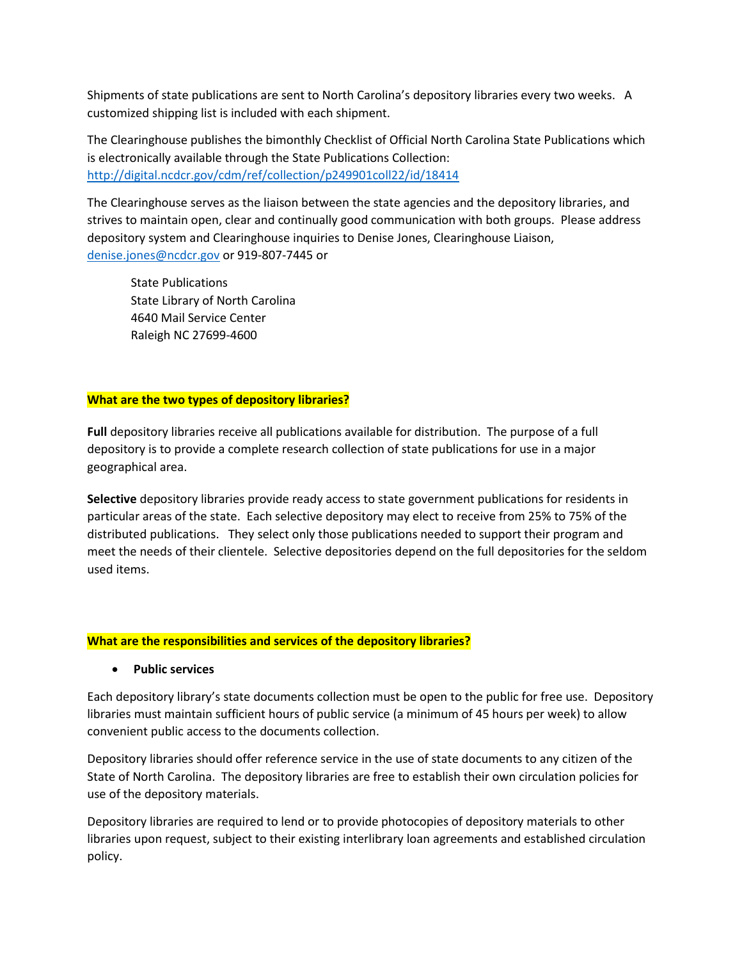Shipments of state publications are sent to North Carolina's depository libraries every two weeks. A customized shipping list is included with each shipment.

The Clearinghouse publishes the bimonthly Checklist of Official North Carolina State Publications which is electronically available through the State Publications Collection: <http://digital.ncdcr.gov/cdm/ref/collection/p249901coll22/id/18414>

The Clearinghouse serves as the liaison between the state agencies and the depository libraries, and strives to maintain open, clear and continually good communication with both groups. Please address depository system and Clearinghouse inquiries to Denise Jones, Clearinghouse Liaison, [denise.jones@ncdcr.gov](mailto:denise.jones@ncdcr.gov) or 919-807-7445 or

State Publications State Library of North Carolina 4640 Mail Service Center Raleigh NC 27699-4600

### **What are the two types of depository libraries?**

**Full** depository libraries receive all publications available for distribution. The purpose of a full depository is to provide a complete research collection of state publications for use in a major geographical area.

**Selective** depository libraries provide ready access to state government publications for residents in particular areas of the state. Each selective depository may elect to receive from 25% to 75% of the distributed publications. They select only those publications needed to support their program and meet the needs of their clientele. Selective depositories depend on the full depositories for the seldom used items.

### **What are the responsibilities and services of the depository libraries?**

### **Public services**

Each depository library's state documents collection must be open to the public for free use. Depository libraries must maintain sufficient hours of public service (a minimum of 45 hours per week) to allow convenient public access to the documents collection.

Depository libraries should offer reference service in the use of state documents to any citizen of the State of North Carolina. The depository libraries are free to establish their own circulation policies for use of the depository materials.

Depository libraries are required to lend or to provide photocopies of depository materials to other libraries upon request, subject to their existing interlibrary loan agreements and established circulation policy.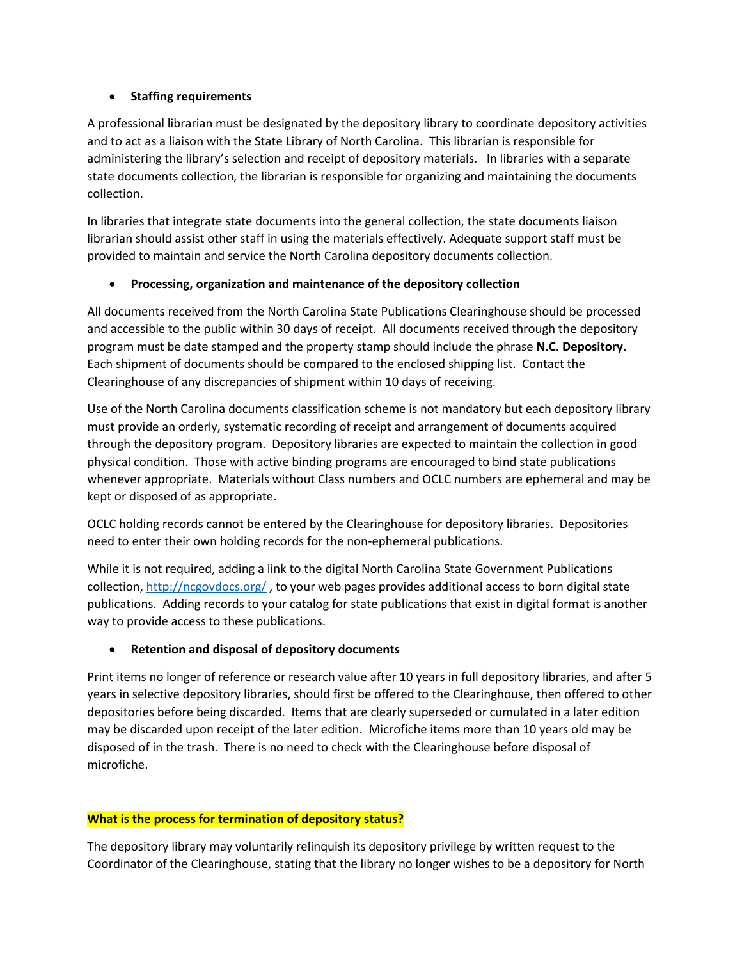## **Staffing requirements**

A professional librarian must be designated by the depository library to coordinate depository activities and to act as a liaison with the State Library of North Carolina. This librarian is responsible for administering the library's selection and receipt of depository materials. In libraries with a separate state documents collection, the librarian is responsible for organizing and maintaining the documents collection.

In libraries that integrate state documents into the general collection, the state documents liaison librarian should assist other staff in using the materials effectively. Adequate support staff must be provided to maintain and service the North Carolina depository documents collection.

## **Processing, organization and maintenance of the depository collection**

All documents received from the North Carolina State Publications Clearinghouse should be processed and accessible to the public within 30 days of receipt. All documents received through the depository program must be date stamped and the property stamp should include the phrase **N.C. Depository**. Each shipment of documents should be compared to the enclosed shipping list. Contact the Clearinghouse of any discrepancies of shipment within 10 days of receiving.

Use of the North Carolina documents classification scheme is not mandatory but each depository library must provide an orderly, systematic recording of receipt and arrangement of documents acquired through the depository program. Depository libraries are expected to maintain the collection in good physical condition. Those with active binding programs are encouraged to bind state publications whenever appropriate. Materials without Class numbers and OCLC numbers are ephemeral and may be kept or disposed of as appropriate.

OCLC holding records cannot be entered by the Clearinghouse for depository libraries. Depositories need to enter their own holding records for the non-ephemeral publications.

While it is not required, adding a link to the digital North Carolina State Government Publications collection, <http://ncgovdocs.org/> , to your web pages provides additional access to born digital state publications. Adding records to your catalog for state publications that exist in digital format is another way to provide access to these publications.

## **Retention and disposal of depository documents**

Print items no longer of reference or research value after 10 years in full depository libraries, and after 5 years in selective depository libraries, should first be offered to the Clearinghouse, then offered to other depositories before being discarded. Items that are clearly superseded or cumulated in a later edition may be discarded upon receipt of the later edition. Microfiche items more than 10 years old may be disposed of in the trash. There is no need to check with the Clearinghouse before disposal of microfiche.

## **What is the process for termination of depository status?**

The depository library may voluntarily relinquish its depository privilege by written request to the Coordinator of the Clearinghouse, stating that the library no longer wishes to be a depository for North